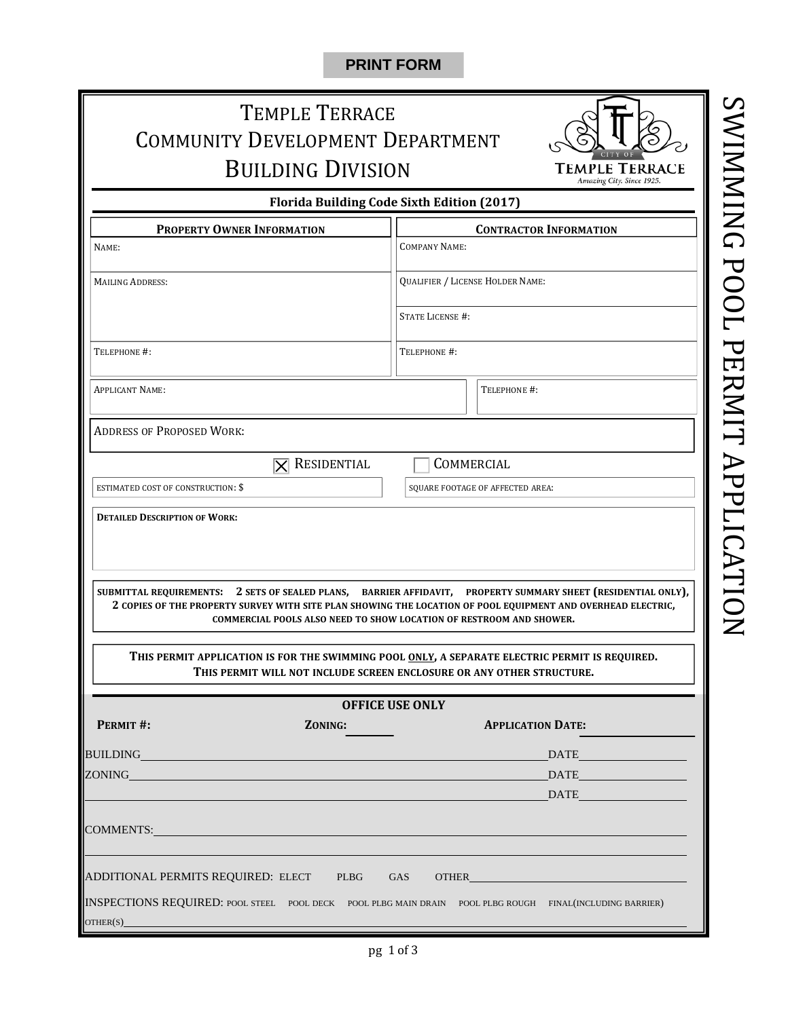#### **PRINT FORM**

# TEMPLE TERRACE COMMUNITY DEVELOPMENT DEPARTMENT **BUILDING DIVISION**



**Florida Building Code Sixth Edition (2017)**

| <b>PROPERTY OWNER INFORMATION</b>                                                                                    |                         | <b>CONTRACTOR INFORMATION</b>    |                                  |                                                                                                                                                                                                                                                                                                                                                                                                                                                                                        |  |
|----------------------------------------------------------------------------------------------------------------------|-------------------------|----------------------------------|----------------------------------|----------------------------------------------------------------------------------------------------------------------------------------------------------------------------------------------------------------------------------------------------------------------------------------------------------------------------------------------------------------------------------------------------------------------------------------------------------------------------------------|--|
| NAME:                                                                                                                |                         | <b>COMPANY NAME:</b>             |                                  |                                                                                                                                                                                                                                                                                                                                                                                                                                                                                        |  |
| <b>MAILING ADDRESS:</b>                                                                                              |                         | QUALIFIER / LICENSE HOLDER NAME: |                                  |                                                                                                                                                                                                                                                                                                                                                                                                                                                                                        |  |
|                                                                                                                      |                         | <b>STATE LICENSE #:</b>          |                                  |                                                                                                                                                                                                                                                                                                                                                                                                                                                                                        |  |
| TELEPHONE #:                                                                                                         |                         | TELEPHONE #:                     |                                  |                                                                                                                                                                                                                                                                                                                                                                                                                                                                                        |  |
| <b>APPLICANT NAME:</b>                                                                                               |                         |                                  |                                  | TELEPHONE #:                                                                                                                                                                                                                                                                                                                                                                                                                                                                           |  |
| <b>ADDRESS OF PROPOSED WORK:</b>                                                                                     |                         |                                  |                                  |                                                                                                                                                                                                                                                                                                                                                                                                                                                                                        |  |
|                                                                                                                      | $\boxtimes$ Residential | COMMERCIAL                       |                                  |                                                                                                                                                                                                                                                                                                                                                                                                                                                                                        |  |
| <b>ESTIMATED COST OF CONSTRUCTION: \$</b>                                                                            |                         |                                  | SQUARE FOOTAGE OF AFFECTED AREA: |                                                                                                                                                                                                                                                                                                                                                                                                                                                                                        |  |
|                                                                                                                      |                         |                                  |                                  | SUBMITTAL REQUIREMENTS: 2 SETS OF SEALED PLANS, BARRIER AFFIDAVIT, PROPERTY SUMMARY SHEET (RESIDENTIAL ONLY),<br>2 COPIES OF THE PROPERTY SURVEY WITH SITE PLAN SHOWING THE LOCATION OF POOL EQUIPMENT AND OVERHEAD ELECTRIC,<br><b>COMMERCIAL POOLS ALSO NEED TO SHOW LOCATION OF RESTROOM AND SHOWER.</b><br>THIS PERMIT APPLICATION IS FOR THE SWIMMING POOL ONLY, A SEPARATE ELECTRIC PERMIT IS REQUIRED.<br>THIS PERMIT WILL NOT INCLUDE SCREEN ENCLOSURE OR ANY OTHER STRUCTURE. |  |
|                                                                                                                      |                         | <b>OFFICE USE ONLY</b>           |                                  |                                                                                                                                                                                                                                                                                                                                                                                                                                                                                        |  |
| PERMIT #:                                                                                                            | ZONING:                 |                                  |                                  | <b>APPLICATION DATE:</b>                                                                                                                                                                                                                                                                                                                                                                                                                                                               |  |
| BUILDING                                                                                                             |                         |                                  |                                  | DATE And the second second second second second second second second second second second second second second                                                                                                                                                                                                                                                                                                                                                                         |  |
| ZONING <b>Example 2018</b>                                                                                           |                         |                                  |                                  |                                                                                                                                                                                                                                                                                                                                                                                                                                                                                        |  |
|                                                                                                                      |                         |                                  |                                  | DATE                                                                                                                                                                                                                                                                                                                                                                                                                                                                                   |  |
| COMMENTS:                                                                                                            |                         |                                  |                                  |                                                                                                                                                                                                                                                                                                                                                                                                                                                                                        |  |
| ADDITIONAL PERMITS REQUIRED: ELECT PLBG                                                                              |                         | GAS                              |                                  | <b>OTHER CONSTRUCTER</b>                                                                                                                                                                                                                                                                                                                                                                                                                                                               |  |
| INSPECTIONS REQUIRED: POOL STEEL POOL DECK POOL PLBG MAIN DRAIN POOL PLBG ROUGH FINAL(INCLUDING BARRIER)<br>OTHER(S) |                         |                                  |                                  |                                                                                                                                                                                                                                                                                                                                                                                                                                                                                        |  |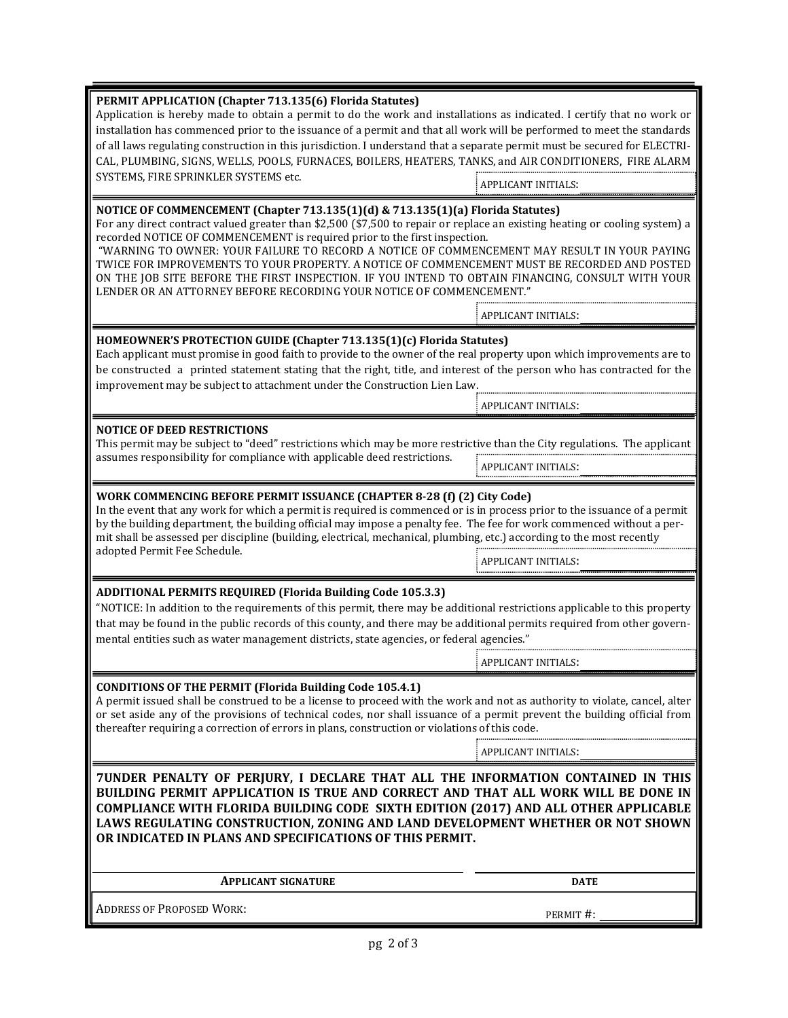| <b>PERMIT APPLICATION (Chapter 713.135(6) Florida Statutes)</b><br>Application is hereby made to obtain a permit to do the work and installations as indicated. I certify that no work or<br>installation has commenced prior to the issuance of a permit and that all work will be performed to meet the standards<br>of all laws regulating construction in this jurisdiction. I understand that a separate permit must be secured for ELECTRI-<br>CAL, PLUMBING, SIGNS, WELLS, POOLS, FURNACES, BOILERS, HEATERS, TANKS, and AIR CONDITIONERS, FIRE ALARM<br>SYSTEMS, FIRE SPRINKLER SYSTEMS etc. | APPLICANT INITIALS:        |  |  |  |
|------------------------------------------------------------------------------------------------------------------------------------------------------------------------------------------------------------------------------------------------------------------------------------------------------------------------------------------------------------------------------------------------------------------------------------------------------------------------------------------------------------------------------------------------------------------------------------------------------|----------------------------|--|--|--|
| NOTICE OF COMMENCEMENT (Chapter 713.135(1)(d) & 713.135(1)(a) Florida Statutes)                                                                                                                                                                                                                                                                                                                                                                                                                                                                                                                      |                            |  |  |  |
| For any direct contract valued greater than \$2,500 (\$7,500 to repair or replace an existing heating or cooling system) a<br>recorded NOTICE OF COMMENCEMENT is required prior to the first inspection.<br>"WARNING TO OWNER: YOUR FAILURE TO RECORD A NOTICE OF COMMENCEMENT MAY RESULT IN YOUR PAYING<br>TWICE FOR IMPROVEMENTS TO YOUR PROPERTY. A NOTICE OF COMMENCEMENT MUST BE RECORDED AND POSTED<br>ON THE JOB SITE BEFORE THE FIRST INSPECTION. IF YOU INTEND TO OBTAIN FINANCING, CONSULT WITH YOUR<br>LENDER OR AN ATTORNEY BEFORE RECORDING YOUR NOTICE OF COMMENCEMENT."               |                            |  |  |  |
|                                                                                                                                                                                                                                                                                                                                                                                                                                                                                                                                                                                                      | APPLICANT INITIALS:        |  |  |  |
| HOMEOWNER'S PROTECTION GUIDE (Chapter 713.135(1)(c) Florida Statutes)<br>Each applicant must promise in good faith to provide to the owner of the real property upon which improvements are to<br>be constructed a printed statement stating that the right, title, and interest of the person who has contracted for the<br>improvement may be subject to attachment under the Construction Lien Law.                                                                                                                                                                                               |                            |  |  |  |
|                                                                                                                                                                                                                                                                                                                                                                                                                                                                                                                                                                                                      | <b>APPLICANT INITIALS:</b> |  |  |  |
| <b>NOTICE OF DEED RESTRICTIONS</b><br>This permit may be subject to "deed" restrictions which may be more restrictive than the City regulations. The applicant                                                                                                                                                                                                                                                                                                                                                                                                                                       |                            |  |  |  |
| assumes responsibility for compliance with applicable deed restrictions.                                                                                                                                                                                                                                                                                                                                                                                                                                                                                                                             | APPLICANT INITIALS:        |  |  |  |
|                                                                                                                                                                                                                                                                                                                                                                                                                                                                                                                                                                                                      |                            |  |  |  |
| WORK COMMENCING BEFORE PERMIT ISSUANCE (CHAPTER 8-28 (f) (2) City Code)<br>In the event that any work for which a permit is required is commenced or is in process prior to the issuance of a permit<br>by the building department, the building official may impose a penalty fee. The fee for work commenced without a per-<br>mit shall be assessed per discipline (building, electrical, mechanical, plumbing, etc.) according to the most recently                                                                                                                                              |                            |  |  |  |
| adopted Permit Fee Schedule.                                                                                                                                                                                                                                                                                                                                                                                                                                                                                                                                                                         | APPLICANT INITIALS:        |  |  |  |
|                                                                                                                                                                                                                                                                                                                                                                                                                                                                                                                                                                                                      |                            |  |  |  |
| <b>ADDITIONAL PERMITS REQUIRED (Florida Building Code 105.3.3)</b><br>"NOTICE: In addition to the requirements of this permit, there may be additional restrictions applicable to this property<br>that may be found in the public records of this county, and there may be additional permits required from other govern-<br>mental entities such as water management districts, state agencies, or federal agencies."                                                                                                                                                                              | <b>APPLICANT INITIALS:</b> |  |  |  |
|                                                                                                                                                                                                                                                                                                                                                                                                                                                                                                                                                                                                      |                            |  |  |  |
| <b>CONDITIONS OF THE PERMIT (Florida Building Code 105.4.1)</b><br>A permit issued shall be construed to be a license to proceed with the work and not as authority to violate, cancel, alter<br>or set aside any of the provisions of technical codes, nor shall issuance of a permit prevent the building official from<br>thereafter requiring a correction of errors in plans, construction or violations of this code.                                                                                                                                                                          |                            |  |  |  |
|                                                                                                                                                                                                                                                                                                                                                                                                                                                                                                                                                                                                      | <b>APPLICANT INITIALS:</b> |  |  |  |
| 7UNDER PENALTY OF PERJURY, I DECLARE THAT ALL THE INFORMATION CONTAINED IN THIS<br>BUILDING PERMIT APPLICATION IS TRUE AND CORRECT AND THAT ALL WORK WILL BE DONE IN<br><b>COMPLIANCE WITH FLORIDA BUILDING CODE SIXTH EDITION (2017) AND ALL OTHER APPLICABLE</b><br>LAWS REGULATING CONSTRUCTION, ZONING AND LAND DEVELOPMENT WHETHER OR NOT SHOWN<br>OR INDICATED IN PLANS AND SPECIFICATIONS OF THIS PERMIT.                                                                                                                                                                                     |                            |  |  |  |
| <b>APPLICANT SIGNATURE</b>                                                                                                                                                                                                                                                                                                                                                                                                                                                                                                                                                                           | <b>DATE</b>                |  |  |  |
|                                                                                                                                                                                                                                                                                                                                                                                                                                                                                                                                                                                                      |                            |  |  |  |
| <b>ADDRESS OF PROPOSED WORK:</b>                                                                                                                                                                                                                                                                                                                                                                                                                                                                                                                                                                     | PERMIT #:                  |  |  |  |